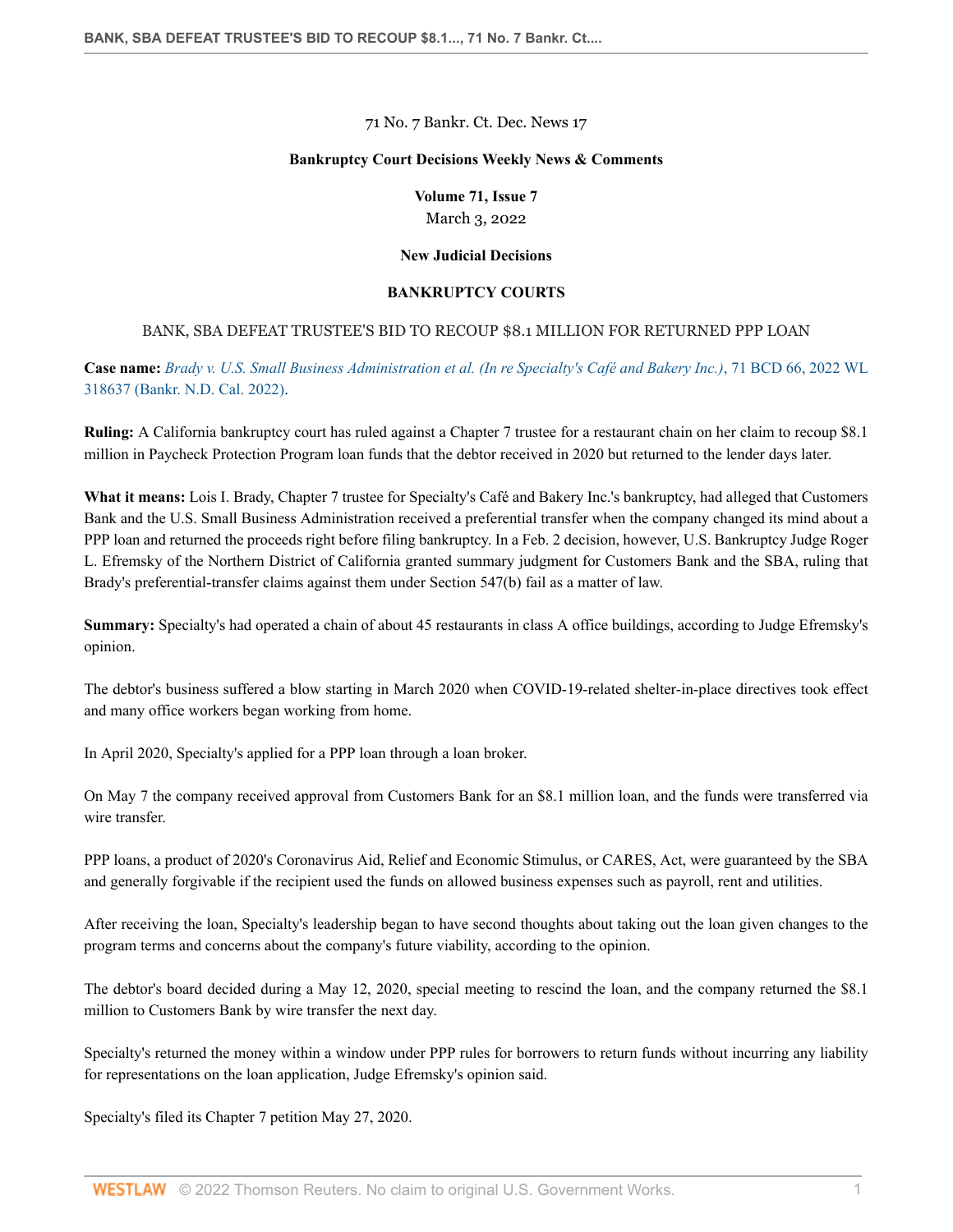71 No. 7 Bankr. Ct. Dec. News 17

### **Bankruptcy Court Decisions Weekly News & Comments**

# **Volume 71, Issue 7** March 3, 2022

### **New Judicial Decisions**

## **BANKRUPTCY COURTS**

# BANK, SBA DEFEAT TRUSTEE'S BID TO RECOUP \$8.1 MILLION FOR RETURNED PPP LOAN

**Case name:** *[Brady v. U.S. Small Business Administration et al. \(In re Specialty's Café and Bakery Inc.\)](http://www.westlaw.com/Link/Document/FullText?findType=Y&serNum=2055498883&pubNum=0000999&originatingDoc=I76b88bcc8f0f11ec9f24ec7b211d8087&refType=RP&originationContext=document&vr=3.0&rs=cblt1.0&transitionType=DocumentItem&contextData=(sc.PubAlert))*, 71 BCD 66, 2022 WL [318637 \(Bankr. N.D. Cal. 2022\).](http://www.westlaw.com/Link/Document/FullText?findType=Y&serNum=2055498883&pubNum=0000999&originatingDoc=I76b88bcc8f0f11ec9f24ec7b211d8087&refType=RP&originationContext=document&vr=3.0&rs=cblt1.0&transitionType=DocumentItem&contextData=(sc.PubAlert))

**Ruling:** A California bankruptcy court has ruled against a Chapter 7 trustee for a restaurant chain on her claim to recoup \$8.1 million in Paycheck Protection Program loan funds that the debtor received in 2020 but returned to the lender days later.

**What it means:** Lois I. Brady, Chapter 7 trustee for Specialty's Café and Bakery Inc.'s bankruptcy, had alleged that Customers Bank and the U.S. Small Business Administration received a preferential transfer when the company changed its mind about a PPP loan and returned the proceeds right before filing bankruptcy. In a Feb. 2 decision, however, U.S. Bankruptcy Judge Roger L. Efremsky of the Northern District of California granted summary judgment for Customers Bank and the SBA, ruling that Brady's preferential-transfer claims against them under Section 547(b) fail as a matter of law.

**Summary:** Specialty's had operated a chain of about 45 restaurants in class A office buildings, according to Judge Efremsky's opinion.

The debtor's business suffered a blow starting in March 2020 when COVID-19-related shelter-in-place directives took effect and many office workers began working from home.

In April 2020, Specialty's applied for a PPP loan through a loan broker.

On May 7 the company received approval from Customers Bank for an \$8.1 million loan, and the funds were transferred via wire transfer

PPP loans, a product of 2020's Coronavirus Aid, Relief and Economic Stimulus, or CARES, Act, were guaranteed by the SBA and generally forgivable if the recipient used the funds on allowed business expenses such as payroll, rent and utilities.

After receiving the loan, Specialty's leadership began to have second thoughts about taking out the loan given changes to the program terms and concerns about the company's future viability, according to the opinion.

The debtor's board decided during a May 12, 2020, special meeting to rescind the loan, and the company returned the \$8.1 million to Customers Bank by wire transfer the next day.

Specialty's returned the money within a window under PPP rules for borrowers to return funds without incurring any liability for representations on the loan application, Judge Efremsky's opinion said.

Specialty's filed its Chapter 7 petition May 27, 2020.